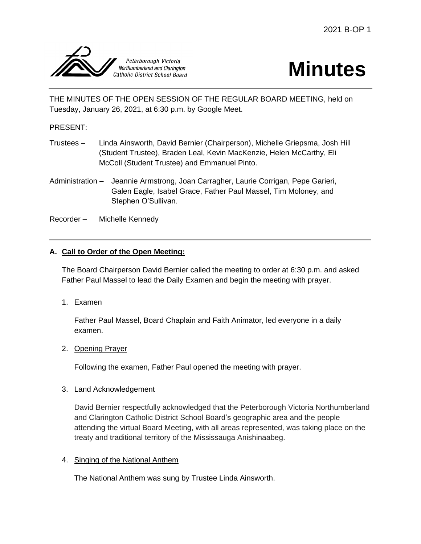

# **Minutes**

THE MINUTES OF THE OPEN SESSION OF THE REGULAR BOARD MEETING, held on Tuesday, January 26, 2021, at 6:30 p.m. by Google Meet.

## PRESENT:

- Trustees Linda Ainsworth, David Bernier (Chairperson), Michelle Griepsma, Josh Hill (Student Trustee), Braden Leal, Kevin MacKenzie, Helen McCarthy, Eli McColl (Student Trustee) and Emmanuel Pinto.
- Administration Jeannie Armstrong, Joan Carragher, Laurie Corrigan, Pepe Garieri, Galen Eagle, Isabel Grace, Father Paul Massel, Tim Moloney, and Stephen O'Sullivan.
- Recorder Michelle Kennedy

## **A. Call to Order of the Open Meeting:**

The Board Chairperson David Bernier called the meeting to order at 6:30 p.m. and asked Father Paul Massel to lead the Daily Examen and begin the meeting with prayer.

1. Examen

Father Paul Massel, Board Chaplain and Faith Animator, led everyone in a daily examen.

#### 2. Opening Prayer

Following the examen, Father Paul opened the meeting with prayer.

#### 3. Land Acknowledgement

David Bernier respectfully acknowledged that the Peterborough Victoria Northumberland and Clarington Catholic District School Board's geographic area and the people attending the virtual Board Meeting, with all areas represented, was taking place on the treaty and traditional territory of the Mississauga Anishinaabeg.

#### 4. Singing of the National Anthem

The National Anthem was sung by Trustee Linda Ainsworth.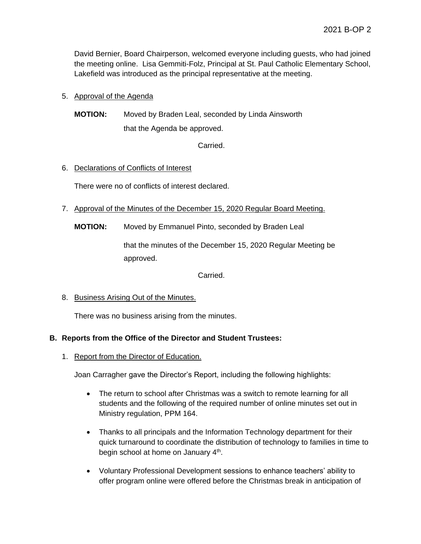David Bernier, Board Chairperson, welcomed everyone including guests, who had joined the meeting online. Lisa Gemmiti-Folz, Principal at St. Paul Catholic Elementary School, Lakefield was introduced as the principal representative at the meeting.

# 5. Approval of the Agenda

**MOTION:** Moved by Braden Leal, seconded by Linda Ainsworth that the Agenda be approved.

Carried.

# 6. Declarations of Conflicts of Interest

There were no of conflicts of interest declared.

- 7. Approval of the Minutes of the December 15, 2020 Regular Board Meeting.
	- **MOTION:** Moved by Emmanuel Pinto, seconded by Braden Leal

that the minutes of the December 15, 2020 Regular Meeting be approved.

Carried.

# 8. Business Arising Out of the Minutes.

There was no business arising from the minutes.

# **B. Reports from the Office of the Director and Student Trustees:**

1. Report from the Director of Education.

Joan Carragher gave the Director's Report, including the following highlights:

- The return to school after Christmas was a switch to remote learning for all students and the following of the required number of online minutes set out in Ministry regulation, PPM 164.
- Thanks to all principals and the Information Technology department for their quick turnaround to coordinate the distribution of technology to families in time to begin school at home on January 4<sup>th</sup>.
- Voluntary Professional Development sessions to enhance teachers' ability to offer program online were offered before the Christmas break in anticipation of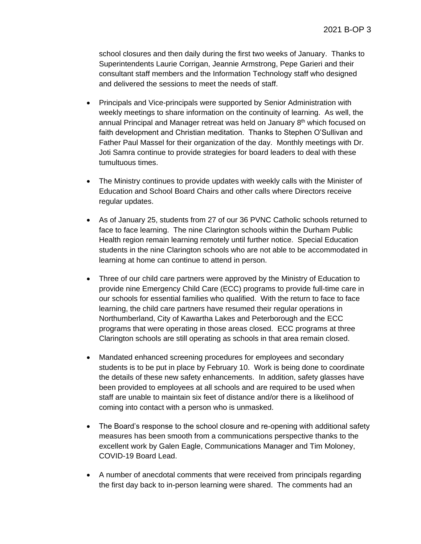school closures and then daily during the first two weeks of January. Thanks to Superintendents Laurie Corrigan, Jeannie Armstrong, Pepe Garieri and their consultant staff members and the Information Technology staff who designed and delivered the sessions to meet the needs of staff.

- Principals and Vice-principals were supported by Senior Administration with weekly meetings to share information on the continuity of learning. As well, the annual Principal and Manager retreat was held on January  $8<sup>th</sup>$  which focused on faith development and Christian meditation. Thanks to Stephen O'Sullivan and Father Paul Massel for their organization of the day. Monthly meetings with Dr. Joti Samra continue to provide strategies for board leaders to deal with these tumultuous times.
- The Ministry continues to provide updates with weekly calls with the Minister of Education and School Board Chairs and other calls where Directors receive regular updates.
- As of January 25, students from 27 of our 36 PVNC Catholic schools returned to face to face learning. The nine Clarington schools within the Durham Public Health region remain learning remotely until further notice. Special Education students in the nine Clarington schools who are not able to be accommodated in learning at home can continue to attend in person.
- Three of our child care partners were approved by the Ministry of Education to provide nine Emergency Child Care (ECC) programs to provide full-time care in our schools for essential families who qualified. With the return to face to face learning, the child care partners have resumed their regular operations in Northumberland, City of Kawartha Lakes and Peterborough and the ECC programs that were operating in those areas closed. ECC programs at three Clarington schools are still operating as schools in that area remain closed.
- Mandated enhanced screening procedures for employees and secondary students is to be put in place by February 10. Work is being done to coordinate the details of these new safety enhancements. In addition, safety glasses have been provided to employees at all schools and are required to be used when staff are unable to maintain six feet of distance and/or there is a likelihood of coming into contact with a person who is unmasked.
- The Board's response to the school closure and re-opening with additional safety measures has been smooth from a communications perspective thanks to the excellent work by Galen Eagle, Communications Manager and Tim Moloney, COVID-19 Board Lead.
- A number of anecdotal comments that were received from principals regarding the first day back to in-person learning were shared. The comments had an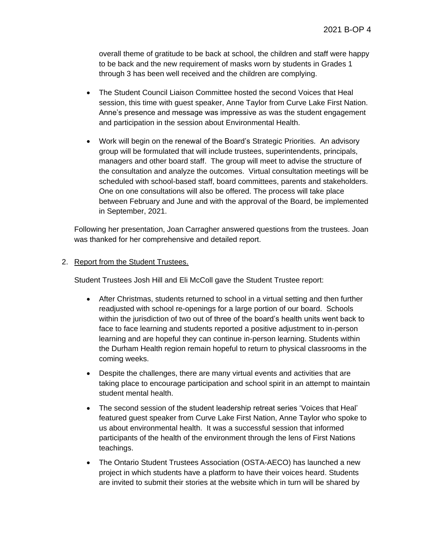overall theme of gratitude to be back at school, the children and staff were happy to be back and the new requirement of masks worn by students in Grades 1 through 3 has been well received and the children are complying.

- The Student Council Liaison Committee hosted the second Voices that Heal session, this time with guest speaker, Anne Taylor from Curve Lake First Nation. Anne's presence and message was impressive as was the student engagement and participation in the session about Environmental Health.
- Work will begin on the renewal of the Board's Strategic Priorities. An advisory group will be formulated that will include trustees, superintendents, principals, managers and other board staff. The group will meet to advise the structure of the consultation and analyze the outcomes. Virtual consultation meetings will be scheduled with school-based staff, board committees, parents and stakeholders. One on one consultations will also be offered. The process will take place between February and June and with the approval of the Board, be implemented in September, 2021.

Following her presentation, Joan Carragher answered questions from the trustees. Joan was thanked for her comprehensive and detailed report.

## 2. Report from the Student Trustees.

Student Trustees Josh Hill and Eli McColl gave the Student Trustee report:

- After Christmas, students returned to school in a virtual setting and then further readjusted with school re-openings for a large portion of our board. Schools within the jurisdiction of two out of three of the board's health units went back to face to face learning and students reported a positive adjustment to in-person learning and are hopeful they can continue in-person learning. Students within the Durham Health region remain hopeful to return to physical classrooms in the coming weeks.
- Despite the challenges, there are many virtual events and activities that are taking place to encourage participation and school spirit in an attempt to maintain student mental health.
- The second session of the student leadership retreat series 'Voices that Heal' featured guest speaker from Curve Lake First Nation, Anne Taylor who spoke to us about environmental health. It was a successful session that informed participants of the health of the environment through the lens of First Nations teachings.
- The Ontario Student Trustees Association (OSTA-AECO) has launched a new project in which students have a platform to have their voices heard. Students are invited to submit their stories at the website which in turn will be shared by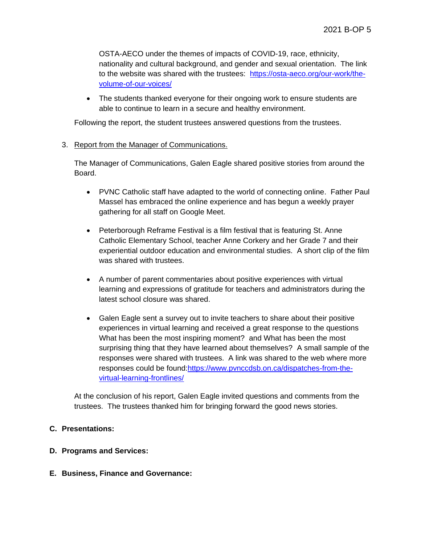OSTA-AECO under the themes of impacts of COVID-19, race, ethnicity, nationality and cultural background, and gender and sexual orientation. The link to the website was shared with the trustees: [https://osta-aeco.org/our-work/the](https://osta-aeco.org/our-work/the-volume-of-our-voices/)[volume-of-our-voices/](https://osta-aeco.org/our-work/the-volume-of-our-voices/)

• The students thanked everyone for their ongoing work to ensure students are able to continue to learn in a secure and healthy environment.

Following the report, the student trustees answered questions from the trustees.

## 3. Report from the Manager of Communications.

The Manager of Communications, Galen Eagle shared positive stories from around the Board.

- PVNC Catholic staff have adapted to the world of connecting online. Father Paul Massel has embraced the online experience and has begun a weekly prayer gathering for all staff on Google Meet.
- Peterborough Reframe Festival is a film festival that is featuring St. Anne Catholic Elementary School, teacher Anne Corkery and her Grade 7 and their experiential outdoor education and environmental studies. A short clip of the film was shared with trustees.
- A number of parent commentaries about positive experiences with virtual learning and expressions of gratitude for teachers and administrators during the latest school closure was shared.
- Galen Eagle sent a survey out to invite teachers to share about their positive experiences in virtual learning and received a great response to the questions What has been the most inspiring moment? and What has been the most surprising thing that they have learned about themselves? A small sample of the responses were shared with trustees. A link was shared to the web where more responses could be found[:https://www.pvnccdsb.on.ca/dispatches-from-the](https://www.pvnccdsb.on.ca/dispatches-from-the-virtual-learning-frontlines/)[virtual-learning-frontlines/](https://www.pvnccdsb.on.ca/dispatches-from-the-virtual-learning-frontlines/)

At the conclusion of his report, Galen Eagle invited questions and comments from the trustees. The trustees thanked him for bringing forward the good news stories.

#### **C. Presentations:**

#### **D. Programs and Services:**

**E. Business, Finance and Governance:**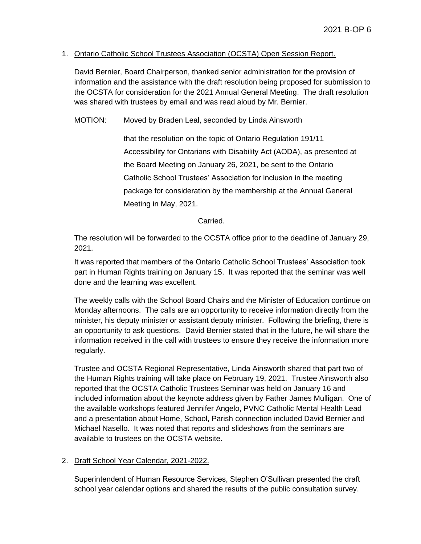#### 1. Ontario Catholic School Trustees Association (OCSTA) Open Session Report.

David Bernier, Board Chairperson, thanked senior administration for the provision of information and the assistance with the draft resolution being proposed for submission to the OCSTA for consideration for the 2021 Annual General Meeting. The draft resolution was shared with trustees by email and was read aloud by Mr. Bernier.

MOTION: Moved by Braden Leal, seconded by Linda Ainsworth

that the resolution on the topic of Ontario Regulation 191/11 Accessibility for Ontarians with Disability Act (AODA), as presented at the Board Meeting on January 26, 2021, be sent to the Ontario Catholic School Trustees' Association for inclusion in the meeting package for consideration by the membership at the Annual General Meeting in May, 2021.

#### Carried.

The resolution will be forwarded to the OCSTA office prior to the deadline of January 29, 2021.

It was reported that members of the Ontario Catholic School Trustees' Association took part in Human Rights training on January 15. It was reported that the seminar was well done and the learning was excellent.

The weekly calls with the School Board Chairs and the Minister of Education continue on Monday afternoons. The calls are an opportunity to receive information directly from the minister, his deputy minister or assistant deputy minister. Following the briefing, there is an opportunity to ask questions. David Bernier stated that in the future, he will share the information received in the call with trustees to ensure they receive the information more regularly.

Trustee and OCSTA Regional Representative, Linda Ainsworth shared that part two of the Human Rights training will take place on February 19, 2021. Trustee Ainsworth also reported that the OCSTA Catholic Trustees Seminar was held on January 16 and included information about the keynote address given by Father James Mulligan. One of the available workshops featured Jennifer Angelo, PVNC Catholic Mental Health Lead and a presentation about Home, School, Parish connection included David Bernier and Michael Nasello. It was noted that reports and slideshows from the seminars are available to trustees on the OCSTA website.

#### 2. Draft School Year Calendar, 2021-2022.

Superintendent of Human Resource Services, Stephen O'Sullivan presented the draft school year calendar options and shared the results of the public consultation survey.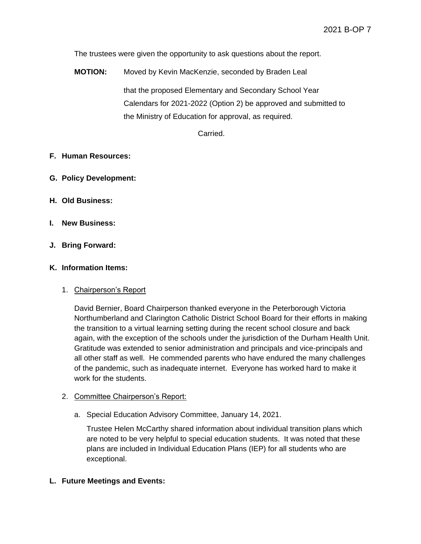The trustees were given the opportunity to ask questions about the report.

**MOTION:** Moved by Kevin MacKenzie, seconded by Braden Leal that the proposed Elementary and Secondary School Year Calendars for 2021-2022 (Option 2) be approved and submitted to the Ministry of Education for approval, as required.

Carried.

#### **F. Human Resources:**

- **G. Policy Development:**
- **H. Old Business:**
- **I. New Business:**
- **J. Bring Forward:**

#### **K. Information Items:**

#### 1. Chairperson's Report

David Bernier, Board Chairperson thanked everyone in the Peterborough Victoria Northumberland and Clarington Catholic District School Board for their efforts in making the transition to a virtual learning setting during the recent school closure and back again, with the exception of the schools under the jurisdiction of the Durham Health Unit. Gratitude was extended to senior administration and principals and vice-principals and all other staff as well. He commended parents who have endured the many challenges of the pandemic, such as inadequate internet. Everyone has worked hard to make it work for the students.

#### 2. Committee Chairperson's Report:

a. Special Education Advisory Committee, January 14, 2021.

Trustee Helen McCarthy shared information about individual transition plans which are noted to be very helpful to special education students. It was noted that these plans are included in Individual Education Plans (IEP) for all students who are exceptional.

#### **L. Future Meetings and Events:**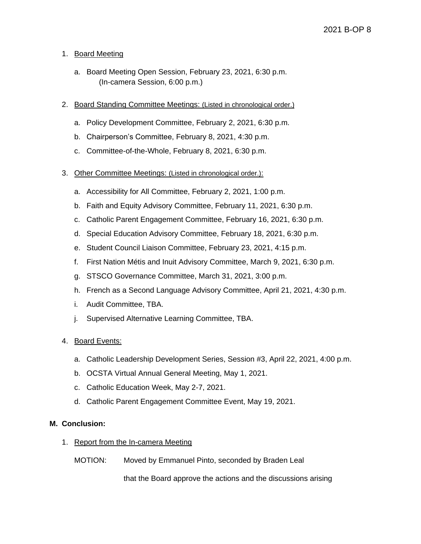## 1. Board Meeting

- a. Board Meeting Open Session, February 23, 2021, 6:30 p.m. (In-camera Session, 6:00 p.m.)
- 2. Board Standing Committee Meetings: (Listed in chronological order.)
	- a. Policy Development Committee, February 2, 2021, 6:30 p.m.
	- b. Chairperson's Committee, February 8, 2021, 4:30 p.m.
	- c. Committee-of-the-Whole, February 8, 2021, 6:30 p.m.
- 3. Other Committee Meetings: (Listed in chronological order.):
	- a. Accessibility for All Committee, February 2, 2021, 1:00 p.m.
	- b. Faith and Equity Advisory Committee, February 11, 2021, 6:30 p.m.
	- c. Catholic Parent Engagement Committee, February 16, 2021, 6:30 p.m.
	- d. Special Education Advisory Committee, February 18, 2021, 6:30 p.m.
	- e. Student Council Liaison Committee, February 23, 2021, 4:15 p.m.
	- f. First Nation Métis and Inuit Advisory Committee, March 9, 2021, 6:30 p.m.
	- g. STSCO Governance Committee, March 31, 2021, 3:00 p.m.
	- h. French as a Second Language Advisory Committee, April 21, 2021, 4:30 p.m.
	- i. Audit Committee, TBA.
	- j. Supervised Alternative Learning Committee, TBA.

#### 4. Board Events:

- a. Catholic Leadership Development Series, Session #3, April 22, 2021, 4:00 p.m.
- b. OCSTA Virtual Annual General Meeting, May 1, 2021.
- c. Catholic Education Week, May 2-7, 2021.
- d. Catholic Parent Engagement Committee Event, May 19, 2021.

#### **M. Conclusion:**

- 1. Report from the In-camera Meeting
	- MOTION: Moved by Emmanuel Pinto, seconded by Braden Leal

that the Board approve the actions and the discussions arising